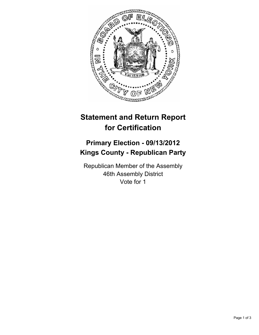

# **Statement and Return Report for Certification**

## **Primary Election - 09/13/2012 Kings County - Republican Party**

Republican Member of the Assembly 46th Assembly District Vote for 1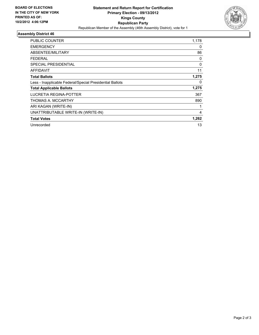

### **Assembly District 46**

| <b>PUBLIC COUNTER</b>                                    | 1,178    |
|----------------------------------------------------------|----------|
| <b>EMERGENCY</b>                                         | 0        |
| ABSENTEE/MILITARY                                        | 86       |
| <b>FEDERAL</b>                                           | 0        |
| <b>SPECIAL PRESIDENTIAL</b>                              | $\Omega$ |
| <b>AFFIDAVIT</b>                                         | 11       |
| <b>Total Ballots</b>                                     | 1,275    |
| Less - Inapplicable Federal/Special Presidential Ballots | 0        |
| <b>Total Applicable Ballots</b>                          | 1,275    |
| LUCRETIA REGINA-POTTER                                   | 367      |
| THOMAS A. MCCARTHY                                       | 890      |
| ARI KAGAN (WRITE-IN)                                     |          |
| UNATTRIBUTABLE WRITE-IN (WRITE-IN)                       | 4        |
| <b>Total Votes</b>                                       | 1,262    |
| Unrecorded                                               | 13       |